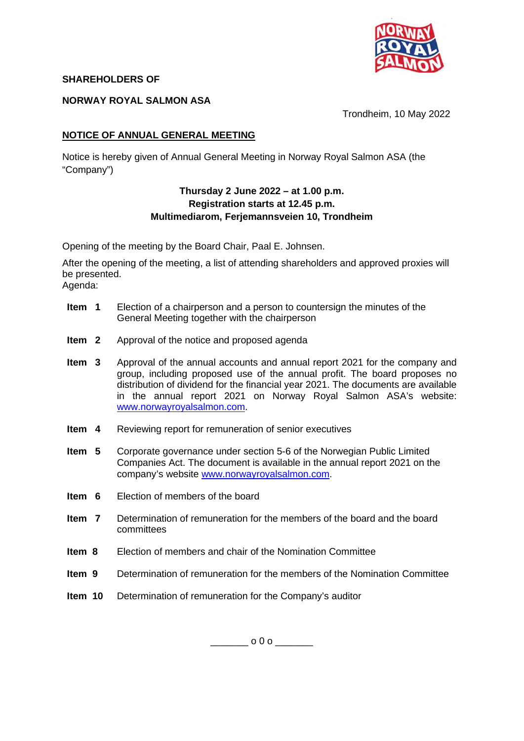

### **SHAREHOLDERS OF**

#### **NORWAY ROYAL SALMON ASA**

Trondheim, 10 May 2022

## **NOTICE OF ANNUAL GENERAL MEETING**

Notice is hereby given of Annual General Meeting in Norway Royal Salmon ASA (the "Company")

### **Thursday 2 June 2022 – at 1.00 p.m. Registration starts at 12.45 p.m. Multimediarom, Ferjemannsveien 10, Trondheim**

Opening of the meeting by the Board Chair, Paal E. Johnsen.

After the opening of the meeting, a list of attending shareholders and approved proxies will be presented.

Agenda:

- **Item 1** Election of a chairperson and a person to countersign the minutes of the General Meeting together with the chairperson
- **Item 2** Approval of the notice and proposed agenda
- **Item 3** Approval of the annual accounts and annual report 2021 for the company and group, including proposed use of the annual profit. The board proposes no distribution of dividend for the financial year 2021. The documents are available in the annual report 2021 on Norway Royal Salmon ASA's website: www.norwayroyalsalmon.com.
- **Item 4** Reviewing report for remuneration of senior executives
- **Item 5** Corporate governance under section 5-6 of the Norwegian Public Limited Companies Act. The document is available in the annual report 2021 on the company's website www.norwayroyalsalmon.com.
- **Item 6** Election of members of the board
- **Item 7** Determination of remuneration for the members of the board and the board committees
- **Item 8** Election of members and chair of the Nomination Committee
- **Item 9** Determination of remuneration for the members of the Nomination Committee
- **Item 10** Determination of remuneration for the Company's auditor

 $\overline{0}$   $\overline{0}$  o  $\overline{0}$  o  $\overline{0}$  o  $\overline{0}$  o  $\overline{0}$  o  $\overline{0}$  o  $\overline{0}$  o  $\overline{0}$  o  $\overline{0}$  o  $\overline{0}$  o  $\overline{0}$  o  $\overline{0}$  o  $\overline{0}$  o  $\overline{0}$  o  $\overline{0}$  o  $\overline{0}$  o  $\overline{0}$  o  $\overline{0}$  o  $\overline{0}$  o  $\over$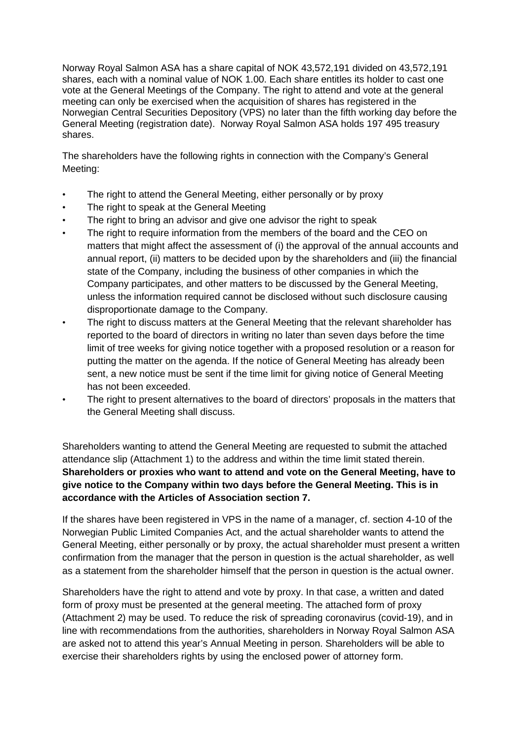Norway Royal Salmon ASA has a share capital of NOK 43,572,191 divided on 43,572,191 shares, each with a nominal value of NOK 1.00. Each share entitles its holder to cast one vote at the General Meetings of the Company. The right to attend and vote at the general meeting can only be exercised when the acquisition of shares has registered in the Norwegian Central Securities Depository (VPS) no later than the fifth working day before the General Meeting (registration date). Norway Royal Salmon ASA holds 197 495 treasury shares.

The shareholders have the following rights in connection with the Company's General Meeting:

- The right to attend the General Meeting, either personally or by proxy
- The right to speak at the General Meeting
- The right to bring an advisor and give one advisor the right to speak
- The right to require information from the members of the board and the CEO on matters that might affect the assessment of (i) the approval of the annual accounts and annual report, (ii) matters to be decided upon by the shareholders and (iii) the financial state of the Company, including the business of other companies in which the Company participates, and other matters to be discussed by the General Meeting, unless the information required cannot be disclosed without such disclosure causing disproportionate damage to the Company.
- The right to discuss matters at the General Meeting that the relevant shareholder has reported to the board of directors in writing no later than seven days before the time limit of tree weeks for giving notice together with a proposed resolution or a reason for putting the matter on the agenda. If the notice of General Meeting has already been sent, a new notice must be sent if the time limit for giving notice of General Meeting has not been exceeded.
- The right to present alternatives to the board of directors' proposals in the matters that the General Meeting shall discuss.

Shareholders wanting to attend the General Meeting are requested to submit the attached attendance slip (Attachment 1) to the address and within the time limit stated therein. **Shareholders or proxies who want to attend and vote on the General Meeting, have to give notice to the Company within two days before the General Meeting. This is in accordance with the Articles of Association section 7.** 

If the shares have been registered in VPS in the name of a manager, cf. section 4-10 of the Norwegian Public Limited Companies Act, and the actual shareholder wants to attend the General Meeting, either personally or by proxy, the actual shareholder must present a written confirmation from the manager that the person in question is the actual shareholder, as well as a statement from the shareholder himself that the person in question is the actual owner.

Shareholders have the right to attend and vote by proxy. In that case, a written and dated form of proxy must be presented at the general meeting. The attached form of proxy (Attachment 2) may be used. To reduce the risk of spreading coronavirus (covid-19), and in line with recommendations from the authorities, shareholders in Norway Royal Salmon ASA are asked not to attend this year's Annual Meeting in person. Shareholders will be able to exercise their shareholders rights by using the enclosed power of attorney form.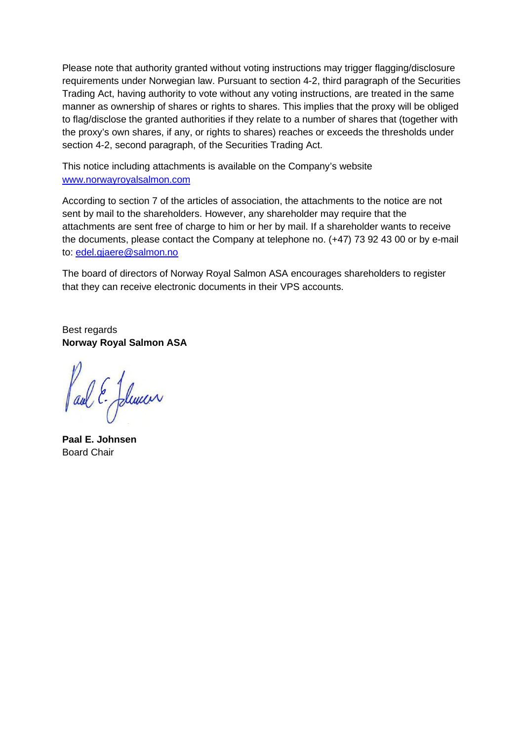Please note that authority granted without voting instructions may trigger flagging/disclosure requirements under Norwegian law. Pursuant to section 4-2, third paragraph of the Securities Trading Act, having authority to vote without any voting instructions, are treated in the same manner as ownership of shares or rights to shares. This implies that the proxy will be obliged to flag/disclose the granted authorities if they relate to a number of shares that (together with the proxy's own shares, if any, or rights to shares) reaches or exceeds the thresholds under section 4-2, second paragraph, of the Securities Trading Act.

This notice including attachments is available on the Company's website www.norwayroyalsalmon.com

According to section 7 of the articles of association, the attachments to the notice are not sent by mail to the shareholders. However, any shareholder may require that the attachments are sent free of charge to him or her by mail. If a shareholder wants to receive the documents, please contact the Company at telephone no. (+47) 73 92 43 00 or by e-mail to: edel.gjaere@salmon.no

The board of directors of Norway Royal Salmon ASA encourages shareholders to register that they can receive electronic documents in their VPS accounts.

Best regards **Norway Royal Salmon ASA** 

Paul E-Jelencer

**Paal E. Johnsen**  Board Chair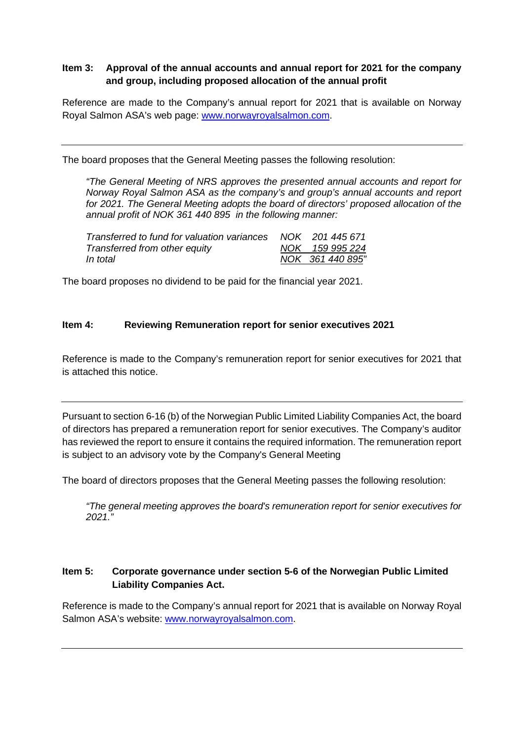# **Item 3: Approval of the annual accounts and annual report for 2021 for the company and group, including proposed allocation of the annual profit**

Reference are made to the Company's annual report for 2021 that is available on Norway Royal Salmon ASA's web page: www.norwayroyalsalmon.com.

The board proposes that the General Meeting passes the following resolution:

*"The General Meeting of NRS approves the presented annual accounts and report for Norway Royal Salmon ASA as the company's and group's annual accounts and report for 2021. The General Meeting adopts the board of directors' proposed allocation of the annual profit of NOK 361 440 895 in the following manner:* 

| Transferred to fund for valuation variances NOK 201 445 671 |                  |
|-------------------------------------------------------------|------------------|
| Transferred from other equity                               | NOK 159 995 224  |
| In total                                                    | NOK 361 440 895" |

The board proposes no dividend to be paid for the financial year 2021.

### **Item 4: Reviewing Remuneration report for senior executives 2021**

Reference is made to the Company's remuneration report for senior executives for 2021 that is attached this notice.

Pursuant to section 6-16 (b) of the Norwegian Public Limited Liability Companies Act, the board of directors has prepared a remuneration report for senior executives. The Company's auditor has reviewed the report to ensure it contains the required information. The remuneration report is subject to an advisory vote by the Company's General Meeting

The board of directors proposes that the General Meeting passes the following resolution:

*"The general meeting approves the board's remuneration report for senior executives for 2021."* 

# **Item 5: Corporate governance under section 5-6 of the Norwegian Public Limited Liability Companies Act.**

Reference is made to the Company's annual report for 2021 that is available on Norway Royal Salmon ASA's website: www.norwayroyalsalmon.com.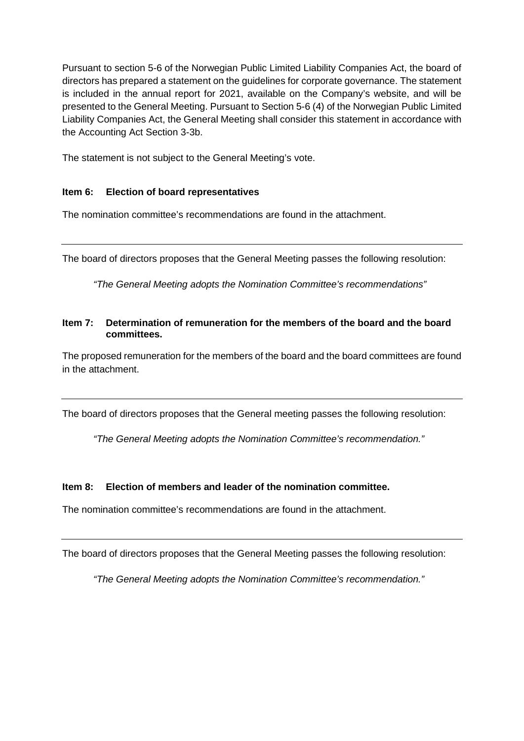Pursuant to section 5-6 of the Norwegian Public Limited Liability Companies Act, the board of directors has prepared a statement on the guidelines for corporate governance. The statement is included in the annual report for 2021, available on the Company's website, and will be presented to the General Meeting. Pursuant to Section 5-6 (4) of the Norwegian Public Limited Liability Companies Act, the General Meeting shall consider this statement in accordance with the Accounting Act Section 3-3b.

The statement is not subject to the General Meeting's vote.

## **Item 6: Election of board representatives**

The nomination committee's recommendations are found in the attachment.

The board of directors proposes that the General Meeting passes the following resolution:

*"The General Meeting adopts the Nomination Committee's recommendations"* 

#### **Item 7: Determination of remuneration for the members of the board and the board committees.**

The proposed remuneration for the members of the board and the board committees are found in the attachment.

The board of directors proposes that the General meeting passes the following resolution:

*"The General Meeting adopts the Nomination Committee's recommendation."* 

#### **Item 8: Election of members and leader of the nomination committee.**

The nomination committee's recommendations are found in the attachment.

The board of directors proposes that the General Meeting passes the following resolution:

*"The General Meeting adopts the Nomination Committee's recommendation."*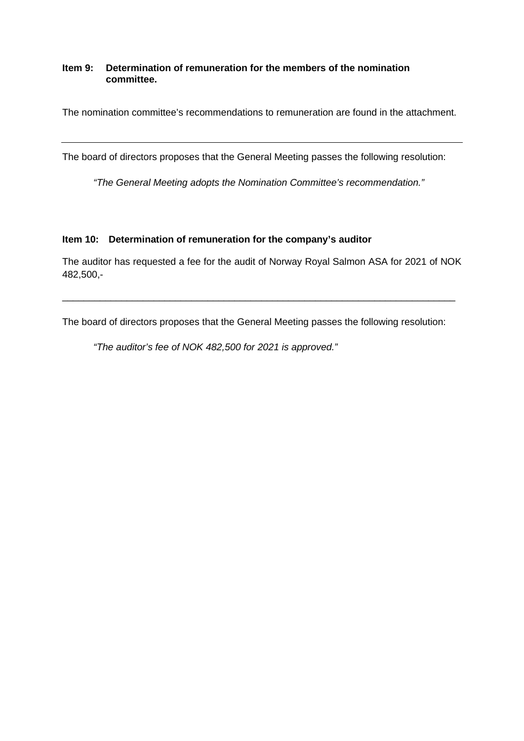#### **Item 9: Determination of remuneration for the members of the nomination committee.**

The nomination committee's recommendations to remuneration are found in the attachment.

The board of directors proposes that the General Meeting passes the following resolution:

*"The General Meeting adopts the Nomination Committee's recommendation."*

#### **Item 10: Determination of remuneration for the company's auditor**

The auditor has requested a fee for the audit of Norway Royal Salmon ASA for 2021 of NOK 482,500,-

\_\_\_\_\_\_\_\_\_\_\_\_\_\_\_\_\_\_\_\_\_\_\_\_\_\_\_\_\_\_\_\_\_\_\_\_\_\_\_\_\_\_\_\_\_\_\_\_\_\_\_\_\_\_\_\_\_\_\_\_\_\_\_\_\_\_\_\_\_\_\_\_\_

The board of directors proposes that the General Meeting passes the following resolution:

*"The auditor's fee of NOK 482,500 for 2021 is approved."*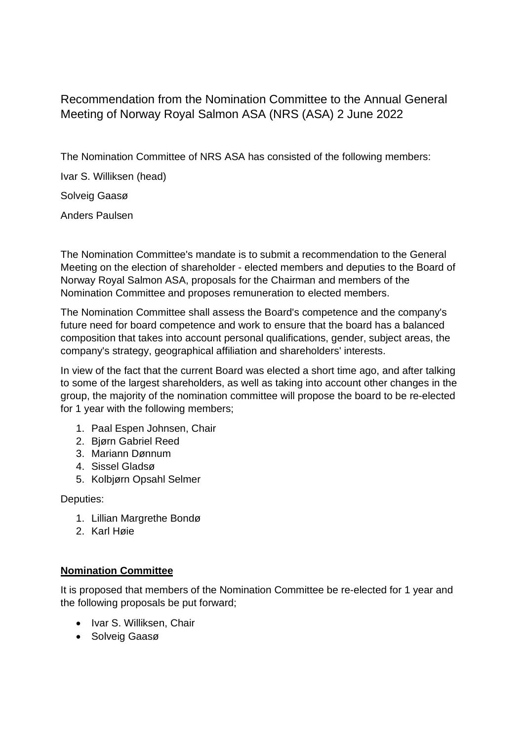Recommendation from the Nomination Committee to the Annual General Meeting of Norway Royal Salmon ASA (NRS (ASA) 2 June 2022

The Nomination Committee of NRS ASA has consisted of the following members:

Ivar S. Williksen (head)

Solveig Gaasø

Anders Paulsen

The Nomination Committee's mandate is to submit a recommendation to the General Meeting on the election of shareholder - elected members and deputies to the Board of Norway Royal Salmon ASA, proposals for the Chairman and members of the Nomination Committee and proposes remuneration to elected members.

The Nomination Committee shall assess the Board's competence and the company's future need for board competence and work to ensure that the board has a balanced composition that takes into account personal qualifications, gender, subject areas, the company's strategy, geographical affiliation and shareholders' interests.

In view of the fact that the current Board was elected a short time ago, and after talking to some of the largest shareholders, as well as taking into account other changes in the group, the majority of the nomination committee will propose the board to be re-elected for 1 year with the following members;

- 1. Paal Espen Johnsen, Chair
- 2. Bjørn Gabriel Reed
- 3. Mariann Dønnum
- 4. Sissel Gladsø
- 5. Kolbjørn Opsahl Selmer

Deputies:

- 1. Lillian Margrethe Bondø
- 2. Karl Høie

# **Nomination Committee**

It is proposed that members of the Nomination Committee be re-elected for 1 year and the following proposals be put forward;

- Ivar S. Williksen, Chair
- Solveig Gaasø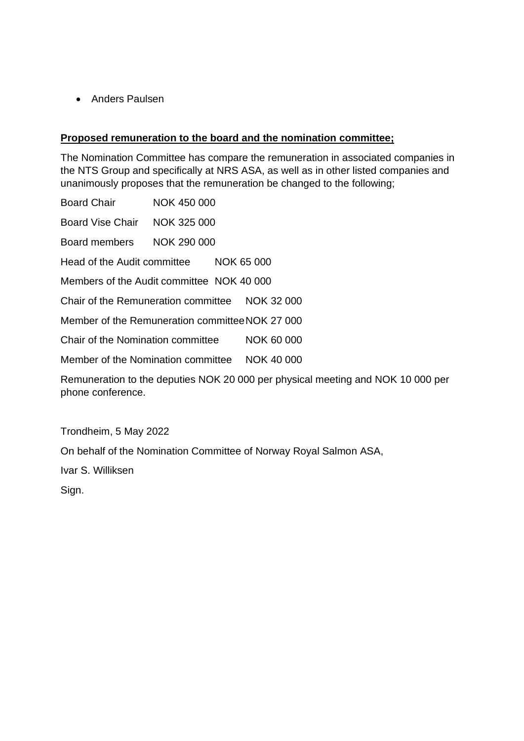• Anders Paulsen

# **Proposed remuneration to the board and the nomination committee;**

The Nomination Committee has compare the remuneration in associated companies in the NTS Group and specifically at NRS ASA, as well as in other listed companies and unanimously proposes that the remuneration be changed to the following;

| Board Chair                                     | NOK 450 000 |                                                                                 |
|-------------------------------------------------|-------------|---------------------------------------------------------------------------------|
| Board Vise Chair NOK 325 000                    |             |                                                                                 |
| Board members                                   | NOK 290 000 |                                                                                 |
| Head of the Audit committee NOK 65 000          |             |                                                                                 |
| Members of the Audit committee NOK 40 000       |             |                                                                                 |
| Chair of the Remuneration committee NOK 32 000  |             |                                                                                 |
| Member of the Remuneration committee NOK 27 000 |             |                                                                                 |
| Chair of the Nomination committee               |             | NOK 60 000                                                                      |
| Member of the Nomination committee NOK 40 000   |             |                                                                                 |
| phone conference.                               |             | Remuneration to the deputies NOK 20 000 per physical meeting and NOK 10 000 per |

Trondheim, 5 May 2022

On behalf of the Nomination Committee of Norway Royal Salmon ASA,

Ivar S. Williksen

Sign.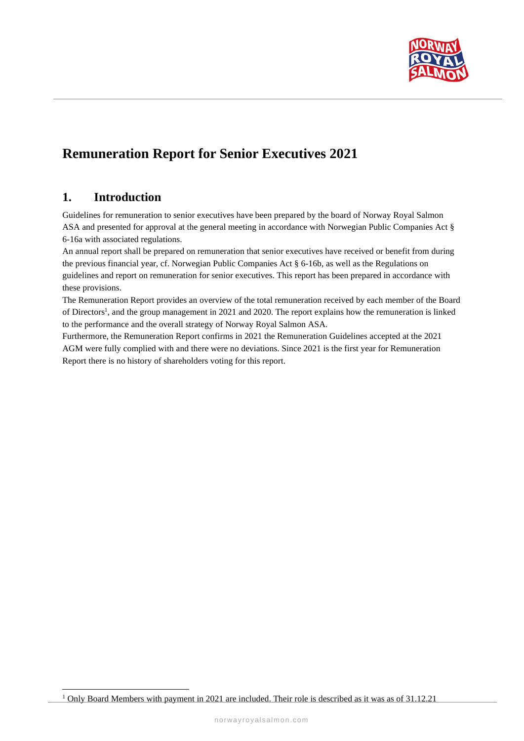

# **Remuneration Report for Senior Executives 2021**

# **1. Introduction**

Guidelines for remuneration to senior executives have been prepared by the board of Norway Royal Salmon ASA and presented for approval at the general meeting in accordance with Norwegian Public Companies Act § 6-16a with associated regulations.

An annual report shall be prepared on remuneration that senior executives have received or benefit from during the previous financial year, cf. Norwegian Public Companies Act § 6-16b, as well as the Regulations on guidelines and report on remuneration for senior executives. This report has been prepared in accordance with these provisions.

The Remuneration Report provides an overview of the total remuneration received by each member of the Board of Directors<sup>1</sup>, and the group management in 2021 and 2020. The report explains how the remuneration is linked to the performance and the overall strategy of Norway Royal Salmon ASA.

Furthermore, the Remuneration Report confirms in 2021 the Remuneration Guidelines accepted at the 2021 AGM were fully complied with and there were no deviations. Since 2021 is the first year for Remuneration Report there is no history of shareholders voting for this report.

<sup>&</sup>lt;sup>1</sup> Only Board Members with payment in 2021 are included. Their role is described as it was as of 31.12.21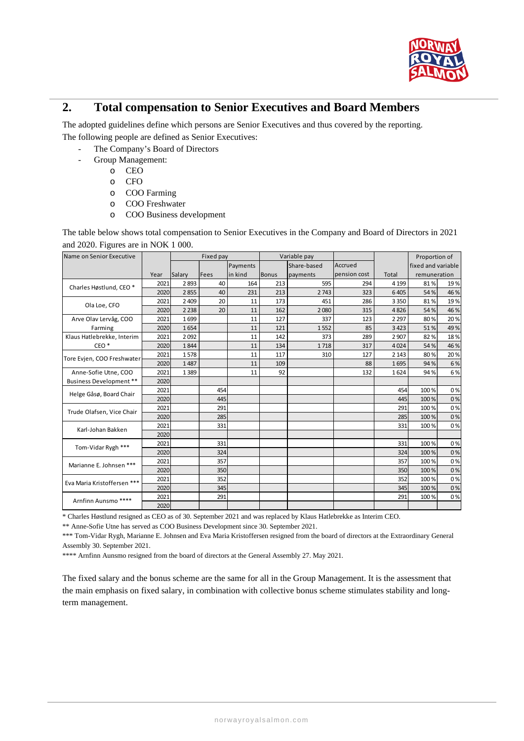

# **2. Total compensation to Senior Executives and Board Members**

The adopted guidelines define which persons are Senior Executives and thus covered by the reporting. The following people are defined as Senior Executives:

- The Company's Board of Directors
- Group Management:
	- o CEO
	- o CFO
	- o COO Farming
	- o COO Freshwater
	- o COO Business development

The table below shows total compensation to Senior Executives in the Company and Board of Directors in 2021 and 2020. Figures are in NOK 1 000.

| Name on Senior Executive           |      | Fixed pay |      |          | Variable pay |          | Proportion of |         |                    |              |  |
|------------------------------------|------|-----------|------|----------|--------------|----------|---------------|---------|--------------------|--------------|--|
|                                    |      |           |      | Payments | Share-based  |          | Accrued       |         | fixed and variable |              |  |
|                                    | Year | Salary    | Fees | in kind  | <b>Bonus</b> | payments | pension cost  | Total   |                    | remuneration |  |
| Charles Høstlund, CEO <sup>*</sup> | 2021 | 2893      | 40   | 164      | 213          | 595      | 294           | 4 1 9 9 | 81%                | 19%          |  |
|                                    | 2020 | 2855      | 40   | 231      | 213          | 2743     | 323           | 6405    | 54%                | 46%          |  |
| Ola Loe, CFO                       | 2021 | 2 4 0 9   | 20   | 11       | 173          | 451      | 286           | 3 3 5 0 | 81%                | 19%          |  |
|                                    | 2020 | 2 2 3 8   | 20   | 11       | 162          | 2080     | 315           | 4826    | 54%                | 46%          |  |
| Arve Olav Lervåg, COO              | 2021 | 1699      |      | 11       | 127          | 337      | 123           | 2 2 9 7 | 80%                | 20%          |  |
| Farming                            | 2020 | 1654      |      | 11       | 121          | 1552     | 85            | 3423    | 51%                | 49%          |  |
| Klaus Hatlebrekke, Interim         | 2021 | 2092      |      | 11       | 142          | 373      | 289           | 2 9 0 7 | 82%                | 18%          |  |
| CEO <sup>*</sup>                   | 2020 | 1844      |      | 11       | 134          | 1718     | 317           | 4024    | 54%                | 46%          |  |
| Tore Evjen, COO Freshwater         | 2021 | 1578      |      | 11       | 117          | 310      | 127           | 2 1 4 3 | 80%                | 20%          |  |
|                                    | 2020 | 1487      |      | 11       | 109          |          | 88            | 1695    | 94%                | 6%           |  |
| Anne-Sofie Utne, COO               | 2021 | 1389      |      | 11       | 92           |          | 132           | 1624    | 94%                | 6%           |  |
| Business Development **            | 2020 |           |      |          |              |          |               |         |                    |              |  |
| Helge Gåsø, Board Chair            | 2021 |           | 454  |          |              |          |               | 454     | 100%               | 0%           |  |
|                                    | 2020 |           | 445  |          |              |          |               | 445     | 100%               | 0%           |  |
| Trude Olafsen, Vice Chair          | 2021 |           | 291  |          |              |          |               | 291     | 100%               | 0%           |  |
|                                    | 2020 |           | 285  |          |              |          |               | 285     | 100%               | 0%           |  |
| Karl-Johan Bakken                  | 2021 |           | 331  |          |              |          |               | 331     | 100%               | 0%           |  |
|                                    | 2020 |           |      |          |              |          |               |         |                    |              |  |
| Tom-Vidar Rygh ***                 | 2021 |           | 331  |          |              |          |               | 331     | 100%               | 0%           |  |
|                                    | 2020 |           | 324  |          |              |          |               | 324     | 100%               | 0%           |  |
| Marianne E. Johnsen ***            | 2021 |           | 357  |          |              |          |               | 357     | 100%               | 0%           |  |
|                                    | 2020 |           | 350  |          |              |          |               | 350     | 100%               | 0%           |  |
| Eva Maria Kristoffersen ***        | 2021 |           | 352  |          |              |          |               | 352     | 100%               | 0%           |  |
|                                    | 2020 |           | 345  |          |              |          |               | 345     | 100%               | 0%           |  |
| Arnfinn Aunsmo ****                | 2021 |           | 291  |          |              |          |               | 291     | 100%               | 0%           |  |
|                                    | 2020 |           |      |          |              |          |               |         |                    |              |  |

\* Charles Høstlund resigned as CEO as of 30. September 2021 and was replaced by Klaus Hatlebrekke as Interim CEO.

\*\* Anne-Sofie Utne has served as COO Business Development since 30. September 2021.

\*\*\* Tom-Vidar Rygh, Marianne E. Johnsen and Eva Maria Kristoffersen resigned from the board of directors at the Extraordinary General Assembly 30. September 2021.

\*\*\*\* Arnfinn Aunsmo resigned from the board of directors at the General Assembly 27. May 2021.

The fixed salary and the bonus scheme are the same for all in the Group Management. It is the assessment that the main emphasis on fixed salary, in combination with collective bonus scheme stimulates stability and longterm management.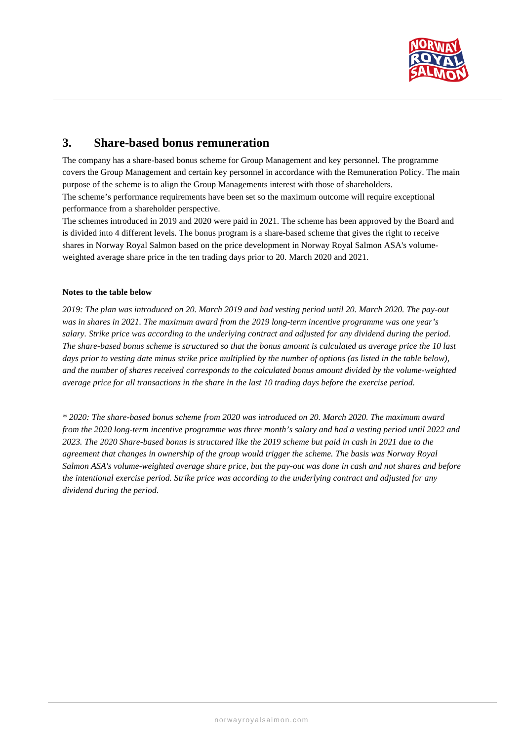

# **3. Share-based bonus remuneration**

The company has a share-based bonus scheme for Group Management and key personnel. The programme covers the Group Management and certain key personnel in accordance with the Remuneration Policy. The main purpose of the scheme is to align the Group Managements interest with those of shareholders. The scheme's performance requirements have been set so the maximum outcome will require exceptional performance from a shareholder perspective.

The schemes introduced in 2019 and 2020 were paid in 2021. The scheme has been approved by the Board and is divided into 4 different levels. The bonus program is a share-based scheme that gives the right to receive shares in Norway Royal Salmon based on the price development in Norway Royal Salmon ASA's volumeweighted average share price in the ten trading days prior to 20. March 2020 and 2021.

#### **Notes to the table below**

*2019: The plan was introduced on 20. March 2019 and had vesting period until 20. March 2020. The pay-out was in shares in 2021. The maximum award from the 2019 long-term incentive programme was one year's salary. Strike price was according to the underlying contract and adjusted for any dividend during the period. The share-based bonus scheme is structured so that the bonus amount is calculated as average price the 10 last*  days prior to vesting date minus strike price multiplied by the number of options (as listed in the table below), *and the number of shares received corresponds to the calculated bonus amount divided by the volume-weighted average price for all transactions in the share in the last 10 trading days before the exercise period.* 

*\* 2020: The share-based bonus scheme from 2020 was introduced on 20. March 2020. The maximum award from the 2020 long-term incentive programme was three month's salary and had a vesting period until 2022 and 2023. The 2020 Share-based bonus is structured like the 2019 scheme but paid in cash in 2021 due to the agreement that changes in ownership of the group would trigger the scheme. The basis was Norway Royal Salmon ASA's volume-weighted average share price, but the pay-out was done in cash and not shares and before the intentional exercise period. Strike price was according to the underlying contract and adjusted for any dividend during the period.*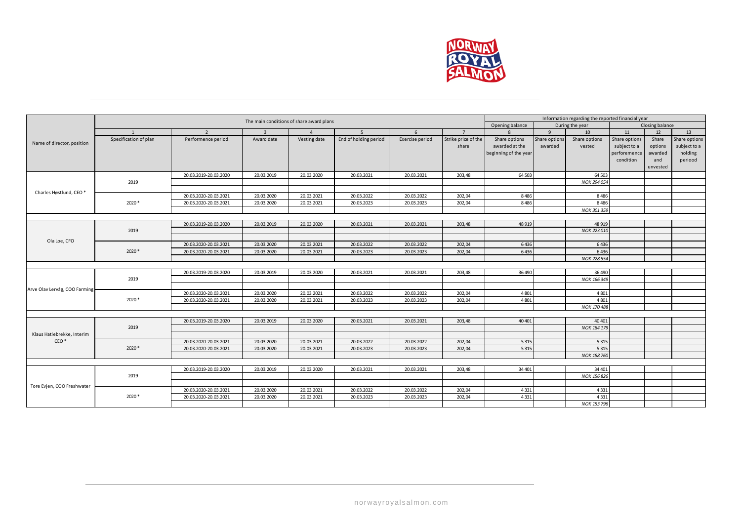

|                                                | The main conditions of share award plans |                       |                | Information regarding the reported financial year |                                                       |                 |                     |                       |               |                    |               |          |               |
|------------------------------------------------|------------------------------------------|-----------------------|----------------|---------------------------------------------------|-------------------------------------------------------|-----------------|---------------------|-----------------------|---------------|--------------------|---------------|----------|---------------|
|                                                |                                          |                       |                |                                                   | Closing balance<br>Opening balance<br>During the year |                 |                     |                       |               |                    |               |          |               |
|                                                | $\overline{1}$                           | $\overline{2}$        | $\overline{3}$ |                                                   | 5 <sup>5</sup>                                        | 6               | $\overline{7}$      | $\mathbf{R}$          | $\mathbf{q}$  | 10                 | 11            | 12       | 13            |
| Name of director, position                     | Specification of plan                    | Performence period    | Award date     | Vesting date                                      | End of holding period                                 | Exercise period | Strike price of the | Share options         | Share option: | Share options      | Share options | Share    | Share options |
|                                                |                                          |                       |                |                                                   |                                                       |                 | share               | awarded at the        | awarded       | vested             | subject to a  | options  | subject to a  |
|                                                |                                          |                       |                |                                                   |                                                       |                 |                     | beginning of the year |               |                    | perforemence  | awarded  | holding       |
|                                                |                                          |                       |                |                                                   |                                                       |                 |                     |                       |               |                    | condition     | and      | periood       |
|                                                |                                          |                       |                |                                                   |                                                       |                 |                     |                       |               |                    |               | unvested |               |
|                                                |                                          | 20.03.2019-20.03.2020 | 20.03.2019     | 20.03.2020                                        | 20.03.2021                                            | 20.03.2021      | 203,48              | 64 503                |               | 64 503             |               |          |               |
|                                                | 2019                                     |                       |                |                                                   |                                                       |                 |                     |                       |               | NOK 294 054        |               |          |               |
| Charles Høstlund, CEO*                         |                                          |                       |                |                                                   |                                                       |                 |                     |                       |               |                    |               |          |               |
|                                                |                                          | 20.03.2020-20.03.2021 | 20.03.2020     | 20.03.2021                                        | 20.03.2022                                            | 20.03.2022      | 202,04              | 8486                  |               | 8486               |               |          |               |
|                                                | $2020*$                                  | 20.03.2020-20.03.2021 | 20.03.2020     | 20.03.2021                                        | 20.03.2023                                            | 20.03.2023      | 202,04              | 8 4 8 6               |               | 8486               |               |          |               |
|                                                |                                          |                       |                |                                                   |                                                       |                 |                     |                       |               | NOK 301 359        |               |          |               |
|                                                |                                          | 20.03.2019-20.03.2020 |                |                                                   |                                                       |                 | 203,48              | 48 9 19               |               | 48 9 19            |               |          |               |
|                                                | 2019                                     |                       | 20.03.2019     | 20.03.2020                                        | 20.03.2021                                            | 20.03.2021      |                     |                       |               | NOK 223 010        |               |          |               |
|                                                |                                          |                       |                |                                                   |                                                       |                 |                     |                       |               |                    |               |          |               |
| Ola Loe, CFO                                   |                                          | 20.03.2020-20.03.2021 | 20.03.2020     | 20.03.2021                                        | 20.03.2022                                            | 20.03.2022      | 202,04              | 6436                  |               | 6436               |               |          |               |
|                                                | 2020*                                    | 20.03.2020-20.03.2021 | 20.03.2020     | 20.03.2021                                        | 20.03.2023                                            | 20.03.2023      | 202,04              | 6436                  |               | 6436               |               |          |               |
|                                                |                                          |                       |                |                                                   |                                                       |                 |                     |                       |               | NOK 228 554        |               |          |               |
|                                                |                                          |                       |                |                                                   |                                                       |                 |                     |                       |               |                    |               |          |               |
|                                                |                                          | 20.03.2019-20.03.2020 | 20.03.2019     | 20.03.2020                                        | 20.03.2021                                            | 20.03.2021      | 203,48              | 36 490                |               | 36 490             |               |          |               |
|                                                | 2019                                     |                       |                |                                                   |                                                       |                 |                     |                       |               | NOK 166 349        |               |          |               |
| Arve Olav Lervåg, COO Farming                  |                                          |                       |                |                                                   |                                                       |                 |                     |                       |               |                    |               |          |               |
|                                                |                                          | 20.03.2020-20.03.2021 | 20.03.2020     | 20.03.2021                                        | 20.03.2022                                            | 20.03.2022      | 202,04              | 4801                  |               | 4801               |               |          |               |
|                                                | 2020*                                    | 20.03.2020-20.03.2021 | 20.03.2020     | 20.03.2021                                        | 20.03.2023                                            | 20.03.2023      | 202,04              | 4 8 0 1               |               | 4801               |               |          |               |
|                                                |                                          |                       |                |                                                   |                                                       |                 |                     |                       |               | NOK 170 488        |               |          |               |
|                                                |                                          |                       |                |                                                   |                                                       |                 |                     |                       |               |                    |               |          |               |
|                                                |                                          | 20.03.2019-20.03.2020 | 20.03.2019     | 20.03.2020                                        | 20.03.2021                                            | 20.03.2021      | 203,48              | 40 40 1               |               | 40 40 1            |               |          |               |
|                                                | 2019                                     |                       |                |                                                   |                                                       |                 |                     |                       |               | NOK 184 179        |               |          |               |
| Klaus Hatlebrekke, Interim<br>CEO <sup>*</sup> |                                          |                       |                |                                                   |                                                       |                 |                     |                       |               |                    |               |          |               |
|                                                | $2020*$                                  | 20.03.2020-20.03.2021 | 20.03.2020     | 20.03.2021                                        | 20.03.2022                                            | 20.03.2022      | 202,04              | 5 3 1 5<br>5 3 1 5    |               | 5 3 1 5<br>5 3 1 5 |               |          |               |
|                                                |                                          | 20.03.2020-20.03.2021 | 20.03.2020     | 20.03.2021                                        | 20.03.2023                                            | 20.03.2023      | 202,04              |                       |               | NOK 188 760        |               |          |               |
|                                                |                                          |                       |                |                                                   |                                                       |                 |                     |                       |               |                    |               |          |               |
|                                                |                                          | 20.03.2019-20.03.2020 | 20.03.2019     | 20.03.2020                                        | 20.03.2021                                            | 20.03.2021      | 203,48              | 34 401                |               | 34 401             |               |          |               |
|                                                | 2019                                     |                       |                |                                                   |                                                       |                 |                     |                       |               | NOK 156 826        |               |          |               |
|                                                |                                          |                       |                |                                                   |                                                       |                 |                     |                       |               |                    |               |          |               |
| Tore Evien, COO Freshwater                     |                                          | 20.03.2020-20.03.2021 | 20.03.2020     | 20.03.2021                                        | 20.03.2022                                            | 20.03.2022      | 202,04              | 4 3 3 1               |               | 4 3 3 1            |               |          |               |
|                                                | 2020*                                    | 20.03.2020-20.03.2021 | 20.03.2020     | 20.03.2021                                        | 20.03.2023                                            | 20.03.2023      | 202,04              | 4 3 3 1               |               | 4 3 3 1            |               |          |               |
|                                                |                                          |                       |                |                                                   |                                                       |                 |                     |                       |               | NOK 153 796        |               |          |               |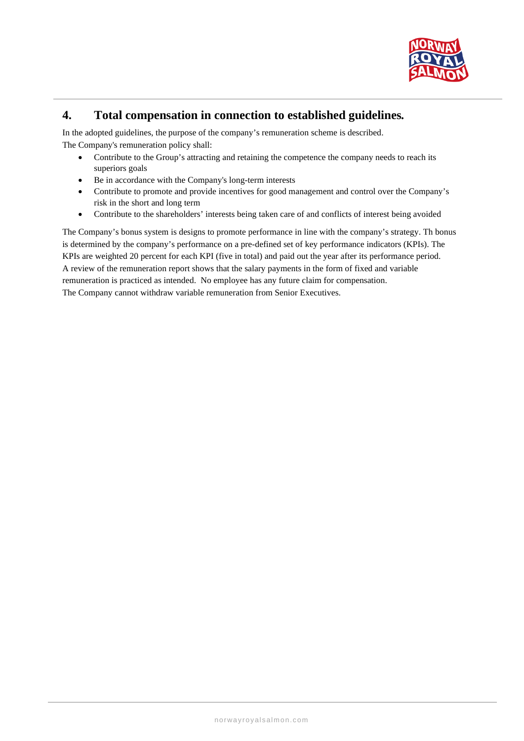

# **4. Total compensation in connection to established guidelines***.*

In the adopted guidelines, the purpose of the company's remuneration scheme is described. The Company's remuneration policy shall:

- Contribute to the Group's attracting and retaining the competence the company needs to reach its superiors goals
- Be in accordance with the Company's long-term interests
- Contribute to promote and provide incentives for good management and control over the Company's risk in the short and long term
- Contribute to the shareholders' interests being taken care of and conflicts of interest being avoided

The Company's bonus system is designs to promote performance in line with the company's strategy. Th bonus is determined by the company's performance on a pre-defined set of key performance indicators (KPIs). The KPIs are weighted 20 percent for each KPI (five in total) and paid out the year after its performance period. A review of the remuneration report shows that the salary payments in the form of fixed and variable remuneration is practiced as intended. No employee has any future claim for compensation. The Company cannot withdraw variable remuneration from Senior Executives.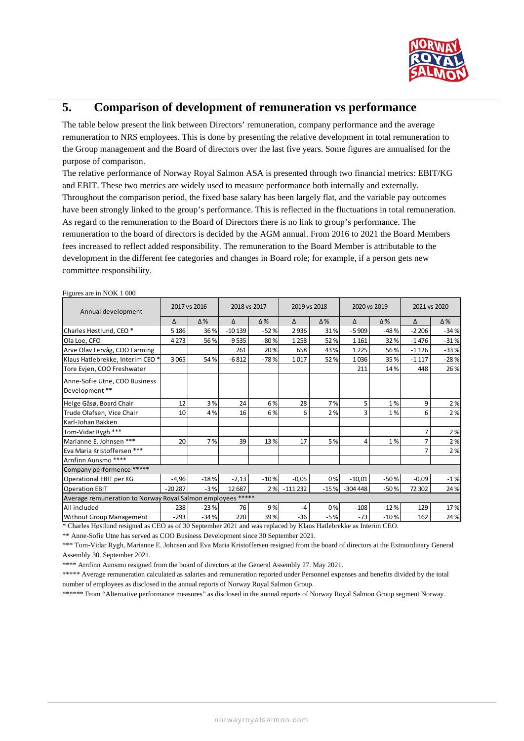

# **5. Comparison of development of remuneration vs performance**

The table below present the link between Directors' remuneration, company performance and the average remuneration to NRS employees. This is done by presenting the relative development in total remuneration to the Group management and the Board of directors over the last five years. Some figures are annualised for the purpose of comparison.

The relative performance of Norway Royal Salmon ASA is presented through two financial metrics: EBIT/KG and EBIT. These two metrics are widely used to measure performance both internally and externally. Throughout the comparison period, the fixed base salary has been largely flat, and the variable pay outcomes have been strongly linked to the group's performance. This is reflected in the fluctuations in total remuneration. As regard to the remuneration to the Board of Directors there is no link to group's performance. The remuneration to the board of directors is decided by the AGM annual. From 2016 to 2021 the Board Members fees increased to reflect added responsibility. The remuneration to the Board Member is attributable to the development in the different fee categories and changes in Board role; for example, if a person gets new committee responsibility.

| Annual development                                          |          | 2017 vs 2016 | 2018 vs 2017 |            |           | 2019 vs 2018 | 2020 vs 2019 |            | 2021 vs 2020 |            |  |
|-------------------------------------------------------------|----------|--------------|--------------|------------|-----------|--------------|--------------|------------|--------------|------------|--|
|                                                             | Δ        | $\Delta\%$   | Δ            | $\Delta\%$ | Δ         | $\Delta\%$   | Δ            | $\Delta\%$ | Δ            | $\Delta\%$ |  |
| Charles Høstlund, CEO <sup>*</sup>                          | 5 1 8 6  | 36%          | $-10139$     | $-52%$     | 2936      | 31%          | $-5909$      | $-48%$     | $-2206$      | $-34%$     |  |
| Ola Loe, CFO                                                | 4 2 7 3  | 56%          | $-9535$      | $-80%$     | 1258      | 52 %         | 1 1 6 1      | 32%        | $-1476$      | $-31%$     |  |
| Arve Olav Lervåg, COO Farming                               |          |              | 261          | 20%        | 658       | 43 %         | 1 2 2 5      | 56%        | $-1126$      | $-33%$     |  |
| Klaus Hatlebrekke, Interim CEO*                             | 3065     | 54%          | $-6812$      | $-78%$     | 1017      | 52 %         | 1036         | 35%        | $-1117$      | $-28%$     |  |
| Tore Evjen, COO Freshwater                                  |          |              |              |            |           |              | 211          | 14%        | 448          | 26%        |  |
| Anne-Sofie Utne, COO Business<br>Development **             |          |              |              |            |           |              |              |            |              |            |  |
| Helge Gåsø, Board Chair                                     | 12       | 3%           | 24           | 6%         | 28        | 7%           | 5            | 1%         | 9            | 2%         |  |
| Trude Olafsen, Vice Chair                                   | 10       | 4%           | 16           | 6%         | 6         | 2%           | 3            | 1%         | 6            | 2%         |  |
| Karl-Johan Bakken                                           |          |              |              |            |           |              |              |            |              |            |  |
| Tom-Vidar Rygh ***                                          |          |              |              |            |           |              |              |            | 7            | 2%         |  |
| Marianne E. Johnsen ***                                     | 20       | 7%           | 39           | 13%        | 17        | 5%           | 4            | 1%         | 7            | 2%         |  |
| Eva Maria Kristoffersen ***                                 |          |              |              |            |           |              |              |            | 7            | 2%         |  |
| Arnfinn Aunsmo ****                                         |          |              |              |            |           |              |              |            |              |            |  |
| Company performence *****                                   |          |              |              |            |           |              |              |            |              |            |  |
| Operational EBIT per KG                                     | $-4,96$  | $-18%$       | $-2,13$      | $-10%$     | $-0,05$   | 0%           | $-10,01$     | $-50%$     | $-0,09$      | $-1%$      |  |
| <b>Operation EBIT</b>                                       | $-20287$ | $-3%$        | 12 687       | 2%         | $-111232$ | $-15%$       | $-304448$    | $-50%$     | 72 302       | 24 %       |  |
| Average remuneration to Norway Royal Salmon employees ***** |          |              |              |            |           |              |              |            |              |            |  |
| All included                                                | $-238$   | $-23%$       | 76           | 9%         | $-4$      | 0%           | $-108$       | $-12%$     | 129          | 17%        |  |
| Without Group Management                                    | $-293$   | $-34%$       | 220          | 39%        | $-36$     | $-5%$        | $-73$        | $-10%$     | 162          | 24 %       |  |

Figures are in NOK 1 000

\* Charles Høstlund resigned as CEO as of 30 September 2021 and was replaced by Klaus Hatlebrekke as Interim CEO.

\*\* Anne-Sofie Utne has served as COO Business Development since 30 September 2021.

\*\*\* Tom-Vidar Rygh, Marianne E. Johnsen and Eva Maria Kristoffersen resigned from the board of directors at the Extraordinary General Assembly 30. September 2021.

\*\*\*\* Arnfinn Aunsmo resigned from the board of directors at the General Assembly 27. May 2021.

\*\*\*\*\* Average remuneration calculated as salaries and remuneration reported under Personnel expenses and benefits divided by the total number of employees as disclosed in the annual reports of Norway Royal Salmon Group.

\*\*\*\*\*\* From "Alternative performance measures" as disclosed in the annual reports of Norway Royal Salmon Group segment Norway.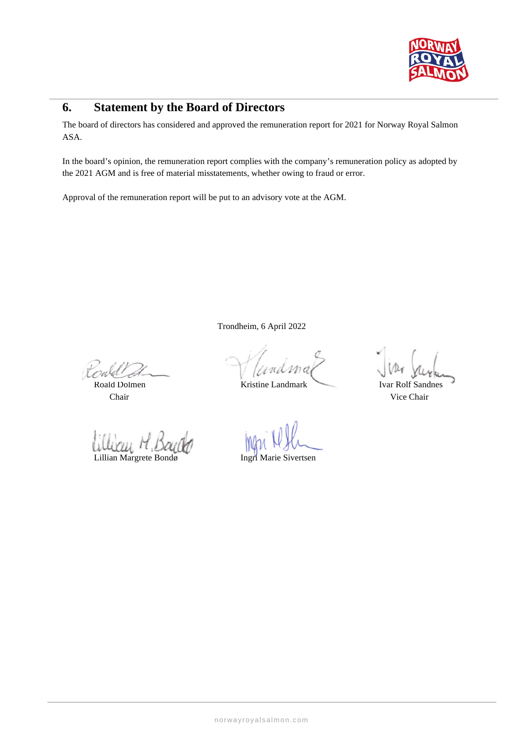

# **6. Statement by the Board of Directors**

The board of directors has considered and approved the remuneration report for 2021 for Norway Royal Salmon ASA.

In the board's opinion, the remuneration report complies with the company's remuneration policy as adopted by the 2021 AGM and is free of material misstatements, whether owing to fraud or error.

Approval of the remuneration report will be put to an advisory vote at the AGM.

Trondheim, 6 April 2022

rald

Lillian Margrete Bondø Ingri Marie Sivertsen

andr

Roald Dolmen Kristine Landmark Ivar Rolf Sandnes

Chair Vice Chair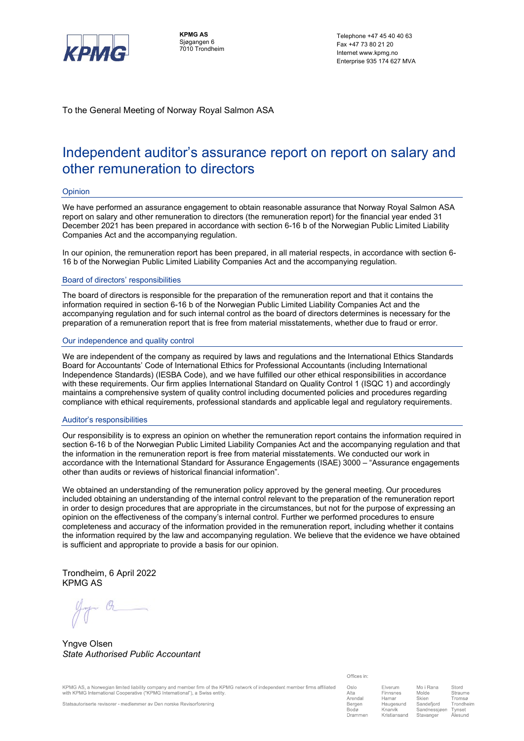

**KPMG AS** Sjøgangen 6 7010 Trondheim

Telephone +47 45 40 40 63 Fax +47 73 80 21 20 Internet www.kpmg.no Enterprise 935 174 627 MVA

To the General Meeting of Norway Royal Salmon ASA

# Independent auditor's assurance report on report on salary and other remuneration to directors

#### Opinion

We have performed an assurance engagement to obtain reasonable assurance that Norway Royal Salmon ASA report on salary and other remuneration to directors (the remuneration report) for the financial year ended 31 December 2021 has been prepared in accordance with section 6-16 b of the Norwegian Public Limited Liability Companies Act and the accompanying regulation.

In our opinion, the remuneration report has been prepared, in all material respects, in accordance with section 6- 16 b of the Norwegian Public Limited Liability Companies Act and the accompanying regulation.

#### Board of directors' responsibilities

The board of directors is responsible for the preparation of the remuneration report and that it contains the information required in section 6-16 b of the Norwegian Public Limited Liability Companies Act and the accompanying regulation and for such internal control as the board of directors determines is necessary for the preparation of a remuneration report that is free from material misstatements, whether due to fraud or error.

#### Our independence and quality control

We are independent of the company as required by laws and regulations and the International Ethics Standards Board for Accountants' Code of International Ethics for Professional Accountants (including International Independence Standards) (IESBA Code), and we have fulfilled our other ethical responsibilities in accordance with these requirements. Our firm applies International Standard on Quality Control 1 (ISQC 1) and accordingly maintains a comprehensive system of quality control including documented policies and procedures regarding compliance with ethical requirements, professional standards and applicable legal and regulatory requirements.

#### Auditor's responsibilities

Our responsibility is to express an opinion on whether the remuneration report contains the information required in section 6-16 b of the Norwegian Public Limited Liability Companies Act and the accompanying regulation and that the information in the remuneration report is free from material misstatements. We conducted our work in accordance with the International Standard for Assurance Engagements (ISAE) 3000 – "Assurance engagements other than audits or reviews of historical financial information".

We obtained an understanding of the remuneration policy approved by the general meeting. Our procedures included obtaining an understanding of the internal control relevant to the preparation of the remuneration report in order to design procedures that are appropriate in the circumstances, but not for the purpose of expressing an opinion on the effectiveness of the company's internal control. Further we performed procedures to ensure completeness and accuracy of the information provided in the remuneration report, including whether it contains the information required by the law and accompanying regulation. We believe that the evidence we have obtained is sufficient and appropriate to provide a basis for our opinion.

Trondheim, 6 April 2022 KPMG AS

Yngve Olsen *State Authorised Public Accountant*

KPMG AS, a Norwegian limited liability company and member firm of the KPMG network of independent member firms affiliated with KPMG International Cooperative ("KPMG International"), a Swiss entity

Offices in:

| Oslo             | Elverum         | Mo i Rana          | Stord     |  |
|------------------|-----------------|--------------------|-----------|--|
| Alta             | Finnsnes        | Molde              | Straume   |  |
| Arendal          | Hamar           | Skien              | Tromsø    |  |
| Bergen           | Haugesund       | Sandefiord         | Trondheim |  |
| Bodø             | Knarvik         | Sandnessjøen       | Tynset    |  |
| Danman and state | L'aiméineannach | Chains and company | المستحملة |  |

Statsautoriserte revisorer - medlemmer av Den norske Revisorforening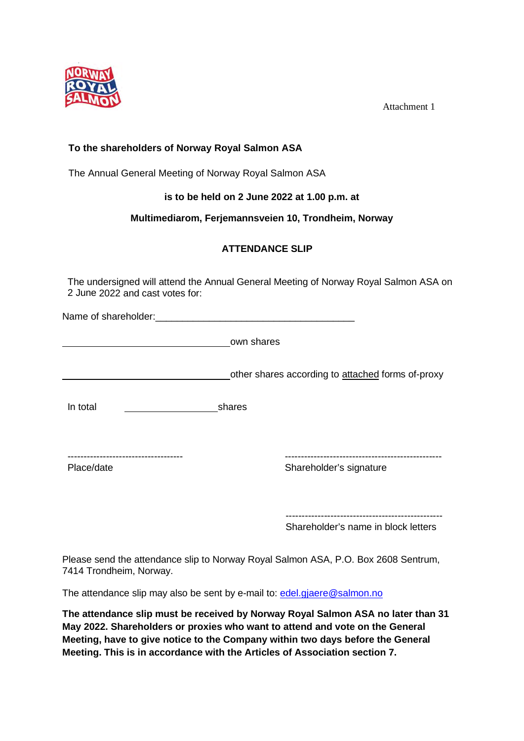

Attachment 1

# **To the shareholders of Norway Royal Salmon ASA**

The Annual General Meeting of Norway Royal Salmon ASA

**is to be held on 2 June 2022 at 1.00 p.m. at** 

## **Multimediarom, Ferjemannsveien 10, Trondheim, Norway**

# **ATTENDANCE SLIP**

The undersigned will attend the Annual General Meeting of Norway Royal Salmon ASA on 2 June 2022 and cast votes for:

Name of shareholder:\_\_\_\_\_\_\_\_\_\_\_\_\_\_\_\_\_\_\_\_\_\_\_\_\_\_\_\_\_\_\_\_\_\_\_\_\_

own shares

other shares according to attached forms of-proxy

In total shares

------------------------------------ -------------------------------------------------

Place/date **Shareholder's signature** Shareholder's signature

------------------------------------------------- Shareholder's name in block letters

Please send the attendance slip to Norway Royal Salmon ASA, P.O. Box 2608 Sentrum, 7414 Trondheim, Norway.

The attendance slip may also be sent by e-mail to: edel.gjaere@salmon.no

**The attendance slip must be received by Norway Royal Salmon ASA no later than 31 May 2022. Shareholders or proxies who want to attend and vote on the General Meeting, have to give notice to the Company within two days before the General Meeting. This is in accordance with the Articles of Association section 7.**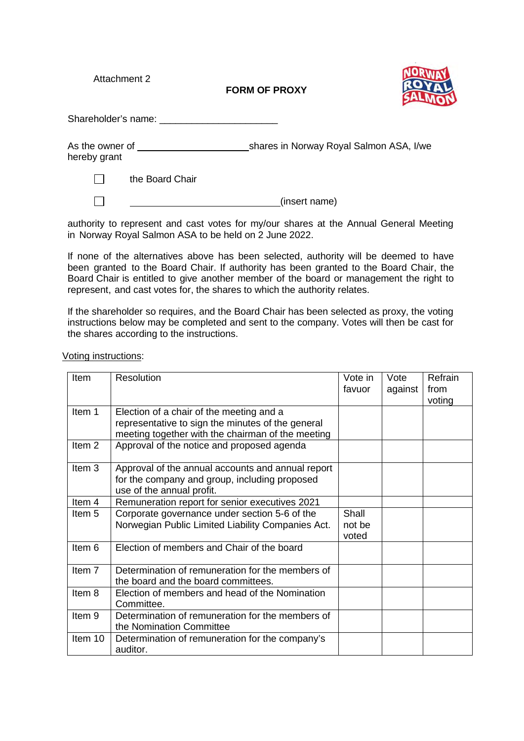Attachment 2

**FORM OF PROXY**



Shareholder's name: \_\_\_\_\_\_\_\_\_\_\_\_\_\_\_\_\_\_\_\_\_\_

As the owner of shares in Norway Royal Salmon ASA, I/we hereby grant

 $\Box$ the Board Chair

 $\Box$ 

(insert name)

authority to represent and cast votes for my/our shares at the Annual General Meeting in Norway Royal Salmon ASA to be held on 2 June 2022.

If none of the alternatives above has been selected, authority will be deemed to have been granted to the Board Chair. If authority has been granted to the Board Chair, the Board Chair is entitled to give another member of the board or management the right to represent, and cast votes for, the shares to which the authority relates.

If the shareholder so requires, and the Board Chair has been selected as proxy, the voting instructions below may be completed and sent to the company. Votes will then be cast for the shares according to the instructions.

| <b>Item</b>       | Resolution                                                                                                                                         | Vote in<br>favuor        | Vote<br>against | Refrain<br>from<br>voting |
|-------------------|----------------------------------------------------------------------------------------------------------------------------------------------------|--------------------------|-----------------|---------------------------|
| Item 1            | Election of a chair of the meeting and a<br>representative to sign the minutes of the general<br>meeting together with the chairman of the meeting |                          |                 |                           |
| Item <sub>2</sub> | Approval of the notice and proposed agenda                                                                                                         |                          |                 |                           |
| Item 3            | Approval of the annual accounts and annual report<br>for the company and group, including proposed<br>use of the annual profit.                    |                          |                 |                           |
| Item <sub>4</sub> | Remuneration report for senior executives 2021                                                                                                     |                          |                 |                           |
| Item 5            | Corporate governance under section 5-6 of the<br>Norwegian Public Limited Liability Companies Act.                                                 | Shall<br>not be<br>voted |                 |                           |
| Item 6            | Election of members and Chair of the board                                                                                                         |                          |                 |                           |
| Item 7            | Determination of remuneration for the members of<br>the board and the board committees.                                                            |                          |                 |                           |
| Item 8            | Election of members and head of the Nomination<br>Committee.                                                                                       |                          |                 |                           |
| Item 9            | Determination of remuneration for the members of<br>the Nomination Committee                                                                       |                          |                 |                           |
| Item 10           | Determination of remuneration for the company's<br>auditor.                                                                                        |                          |                 |                           |

Voting instructions: